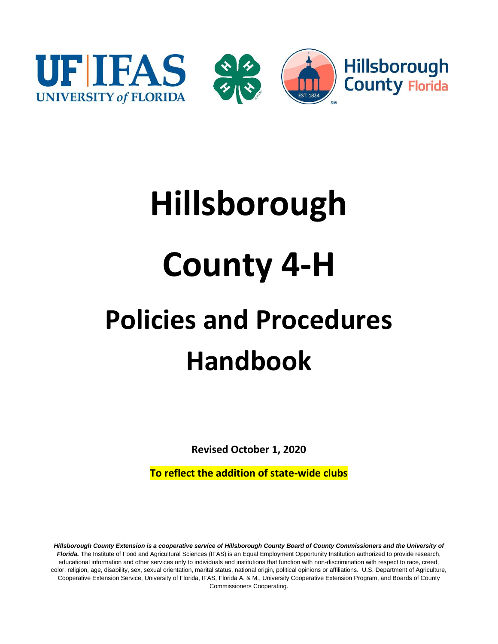

# **Hillsborough County 4-H Policies and Procedures Handbook**

**Revised October 1, 2020**

**To reflect the addition of state-wide clubs**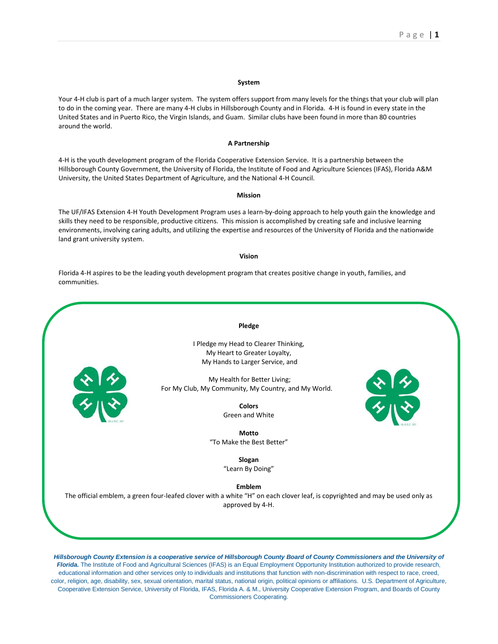#### **System**

Your 4-H club is part of a much larger system. The system offers support from many levels for the things that your club will plan to do in the coming year. There are many 4-H clubs in Hillsborough County and in Florida. 4-H is found in every state in the United States and in Puerto Rico, the Virgin Islands, and Guam. Similar clubs have been found in more than 80 countries around the world.

#### **A Partnership**

4-H is the youth development program of the Florida Cooperative Extension Service. It is a partnership between the Hillsborough County Government, the University of Florida, the Institute of Food and Agriculture Sciences (IFAS), Florida A&M University, the United States Department of Agriculture, and the National 4-H Council.

#### **Mission**

The UF/IFAS Extension 4-H Youth Development Program uses a learn-by-doing approach to help youth gain the knowledge and skills they need to be responsible, productive citizens. This mission is accomplished by creating safe and inclusive learning environments, involving caring adults, and utilizing the expertise and resources of the University of Florida and the nationwide land grant university system.

#### **Vision**

Florida 4-H aspires to be the leading youth development program that creates positive change in youth, families, and communities.



Commissioners Cooperating.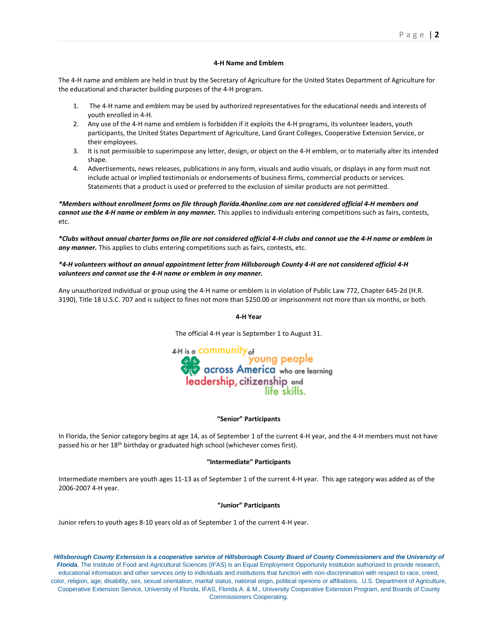#### **4-H Name and Emblem**

The 4-H name and emblem are held in trust by the Secretary of Agriculture for the United States Department of Agriculture for the educational and character building purposes of the 4-H program.

- 1. The 4-H name and emblem may be used by authorized representatives for the educational needs and interests of youth enrolled in 4-H.
- 2. Any use of the 4-H name and emblem is forbidden if it exploits the 4-H programs, its volunteer leaders, youth participants, the United States Department of Agriculture, Land Grant Colleges, Cooperative Extension Service, or their employees.
- 3. It is not permissible to superimpose any letter, design, or object on the 4-H emblem, or to materially alter its intended shape.
- 4. Advertisements, news releases, publications in any form, visuals and audio visuals, or displays in any form must not include actual or implied testimonials or endorsements of business firms, commercial products or services. Statements that a product is used or preferred to the exclusion of similar products are not permitted.

*\*Members without enrollment forms on file through florida.4honline.com are not considered official 4-H members and cannot use the 4-H name or emblem in any manner.* This applies to individuals entering competitions such as fairs, contests, etc.

*\*Clubs without annual charter forms on file are not considered official 4-H clubs and cannot use the 4-H name or emblem in any manner.* This applies to clubs entering competitions such as fairs, contests, etc.

#### *\*4-H volunteers without an annual appointment letter from Hillsborough County 4-H are not considered official 4-H volunteers and cannot use the 4-H name or emblem in any manner.*

Any unauthorized individual or group using the 4-H name or emblem is in violation of Public Law 772, Chapter 645-2d (H.R. 3190), Title 18 U.S.C. 707 and is subject to fines not more than \$250.00 or imprisonment not more than six months, or both.

#### **4-H Year**

The official 4-H year is September 1 to August 31.

4-H is a COMMUNIty <sub>of</sub> on the common young people<br>across America who are learning leadership, citizenship and life skills.

#### **"Senior" Participants**

In Florida, the Senior category begins at age 14, as of September 1 of the current 4-H year, and the 4-H members must not have passed his or her 18<sup>th</sup> birthday or graduated high school (whichever comes first).

#### **"Intermediate" Participants**

Intermediate members are youth ages 11-13 as of September 1 of the current 4-H year. This age category was added as of the 2006-2007 4-H year.

#### **"Junior" Participants**

Junior refers to youth ages 8-10 years old as of September 1 of the current 4-H year.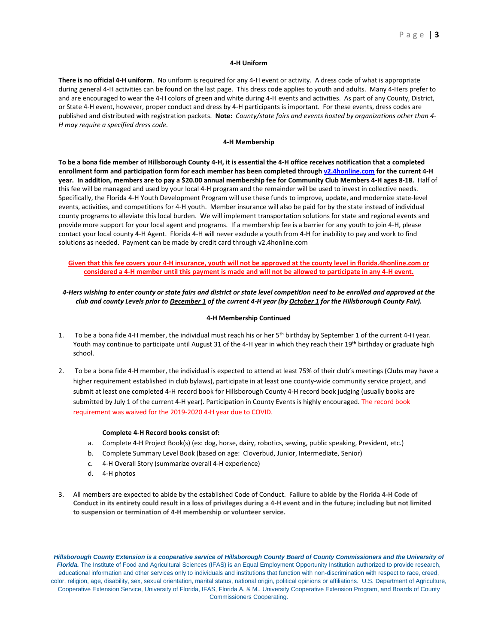#### **4-H Uniform**

**There is no official 4-H uniform**. No uniform is required for any 4-H event or activity. A dress code of what is appropriate during general 4-H activities can be found on the last page. This dress code applies to youth and adults. Many 4-Hers prefer to and are encouraged to wear the 4-H colors of green and white during 4-H events and activities. As part of any County, District, or State 4-H event, however, proper conduct and dress by 4-H participants is important. For these events, dress codes are published and distributed with registration packets. **Note:** *County/state fairs and events hosted by organizations other than 4- H may require a specified dress code.*

#### **4-H Membership**

**To be a bona fide member of Hillsborough County 4-H, it is essential the 4-H office receives notification that a completed enrollment form and participation form for each member has been completed throug[h v2.4honline.com](https://v2.4honline.com/) for the current 4-H year. In addition, members are to pay a \$20.00 annual membership fee for Community Club Members 4-H ages 8-18.** Half of this fee will be managed and used by your local 4-H program and the remainder will be used to invest in collective needs. Specifically, the Florida 4-H Youth Development Program will use these funds to improve, update, and modernize state-level events, activities, and competitions for 4-H youth. Member insurance will also be paid for by the state instead of individual county programs to alleviate this local burden. We will implement transportation solutions for state and regional events and provide more support for your local agent and programs. If a membership fee is a barrier for any youth to join 4-H, please contact your local county 4-H Agent. Florida 4-H will never exclude a youth from 4-H for inability to pay and work to find solutions as needed. Payment can be made by credit card through v2.4honline.com

#### **Given that this fee covers your 4-H insurance, youth will not be approved at the county level in florida.4honline.com or considered a 4-H member until this payment is made and will not be allowed to participate in any 4-H event.**

### *4-Hers wishing to enter county or state fairs and district or state level competition need to be enrolled and approved at the club and county Levels prior to December 1 of the current 4-H year (by October 1 for the Hillsborough County Fair).*

#### **4-H Membership Continued**

- 1. To be a bona fide 4-H member, the individual must reach his or her 5th birthday by September 1 of the current 4-H year. Youth may continue to participate until August 31 of the 4-H year in which they reach their 19<sup>th</sup> birthday or graduate high school.
- 2. To be a bona fide 4-H member, the individual is expected to attend at least 75% of their club's meetings (Clubs may have a higher requirement established in club bylaws), participate in at least one county-wide community service project, and submit at least one completed 4-H record book for Hillsborough County 4-H record book judging (usually books are submitted by July 1 of the current 4-H year). Participation in County Events is highly encouraged. The record book requirement was waived for the 2019-2020 4-H year due to COVID.

#### **Complete 4-H Record books consist of:**

- a. Complete 4-H Project Book(s) (ex: dog, horse, dairy, robotics, sewing, public speaking, President, etc.)
- b. Complete Summary Level Book (based on age: Cloverbud, Junior, Intermediate, Senior)
- c. 4-H Overall Story (summarize overall 4-H experience)
- d. 4-H photos
- 3. All members are expected to abide by the established Code of Conduct. **Failure to abide by the Florida 4-H Code of Conduct in its entirety could result in a loss of privileges during a 4-H event and in the future; including but not limited to suspension or termination of 4-H membership or volunteer service.**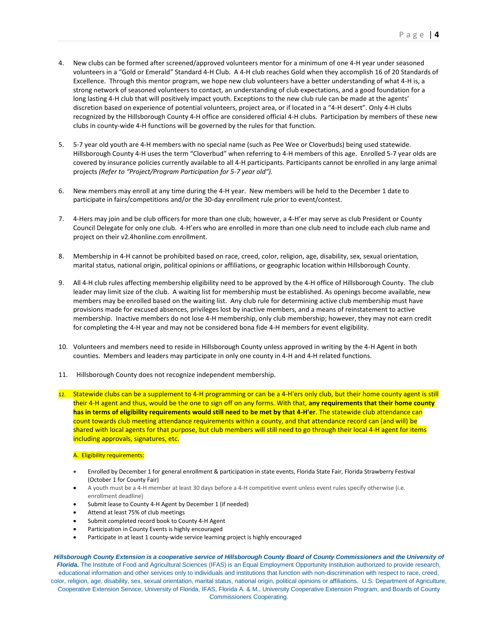- 4. New clubs can be formed after screened/approved volunteers mentor for a minimum of one 4-H year under seasoned volunteers in a "Gold or Emerald" Standard 4-H Club. A 4-H club reaches Gold when they accomplish 16 of 20 Standards of Excellence. Through this mentor program, we hope new club volunteers have a better understanding of what 4-H is, a strong network of seasoned volunteers to contact, an understanding of club expectations, and a good foundation for a long lasting 4-H club that will positively impact youth. Exceptions to the new club rule can be made at the agents' discretion based on experience of potential volunteers, project area, or if located in a "4-H desert". Only 4-H clubs recognized by the Hillsborough County 4-H office are considered official 4-H clubs. Participation by members of these new clubs in county-wide 4-H functions will be governed by the rules for that function.
- 5. 5-7 year old youth are 4-H members with no special name (such as Pee Wee or Cloverbuds) being used statewide. Hillsborough County 4-H uses the term "Cloverbud" when referring to 4-H members of this age. Enrolled 5-7 year olds are covered by insurance policies currently available to all 4-H participants. Participants cannot be enrolled in any large animal projects *(Refer to "Project/Program Participation for 5-7 year old").*
- 6. New members may enroll at any time during the 4-H year. New members will be held to the December 1 date to participate in fairs/competitions and/or the 30-day enrollment rule prior to event/contest.
- 7. 4-Hers may join and be club officers for more than one club; however, a 4-H'er may serve as club President or County Council Delegate for only one club. 4-H'ers who are enrolled in more than one club need to include each club name and project on their v2.4honline.com enrollment.
- 8. Membership in 4-H cannot be prohibited based on race, creed, color, religion, age, disability, sex, sexual orientation, marital status, national origin, political opinions or affiliations, or geographic location within Hillsborough County.
- 9. All 4-H club rules affecting membership eligibility need to be approved by the 4-H office of Hillsborough County. The club leader may limit size of the club. A waiting list for membership must be established. As openings become available, new members may be enrolled based on the waiting list. Any club rule for determining active club membership must have provisions made for excused absences, privileges lost by inactive members, and a means of reinstatement to active membership. Inactive members do not lose 4-H membership, only club membership; however, they may not earn credit for completing the 4-H year and may not be considered bona fide 4-H members for event eligibility.
- 10. Volunteers and members need to reside in Hillsborough County unless approved in writing by the 4-H Agent in both counties. Members and leaders may participate in only one county in 4-H and 4-H related functions.
- 11. Hillsborough County does not recognize independent membership.
- 12. Statewide clubs can be a supplement to 4-H programming or can be a 4-H'ers only club, but their home county agent is still their 4-H agent and thus, would be the one to sign off on any forms. With that, **any requirements that their home county has in terms of eligibility requirements would still need to be met by that 4-H'er**. The statewide club attendance can count towards club meeting attendance requirements within a county, and that attendance record can (and will) be shared with local agents for that purpose, but club members will still need to go through their local 4-H agent for items including approvals, signatures, etc.

#### A. Eligibility requirements:

- Enrolled by December 1 for general enrollment & participation in state events, Florida State Fair, Florida Strawberry Festival (October 1 for County Fair)
- A youth must be a 4-H member at least 30 days before a 4-H competitive event unless event rules specify otherwise (i.e. enrollment deadline)
- Submit lease to County 4-H Agent by December 1 (if needed)
- Attend at least 75% of club meetings
- Submit completed record book to County 4-H Agent
- Participation in County Events is highly encouraged
- Participate in at least 1 county-wide service learning project is highly encouraged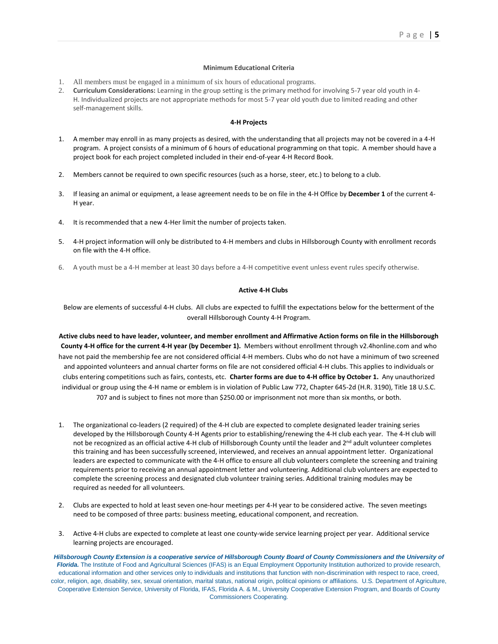#### **Minimum Educational Criteria**

- 1. All members must be engaged in a minimum of six hours of educational programs.
- 2. **Curriculum Considerations:** Learning in the group setting is the primary method for involving 5-7 year old youth in 4- H. Individualized projects are not appropriate methods for most 5-7 year old youth due to limited reading and other self-management skills.

#### **4-H Projects**

- 1. A member may enroll in as many projects as desired, with the understanding that all projects may not be covered in a 4-H program. A project consists of a minimum of 6 hours of educational programming on that topic. A member should have a project book for each project completed included in their end-of-year 4-H Record Book.
- 2. Members cannot be required to own specific resources (such as a horse, steer, etc.) to belong to a club.
- 3. If leasing an animal or equipment, a lease agreement needs to be on file in the 4-H Office by **December 1** of the current 4- H year.
- 4. It is recommended that a new 4-Her limit the number of projects taken.
- 5. 4-H project information will only be distributed to 4-H members and clubs in Hillsborough County with enrollment records on file with the 4-H office.
- 6. A youth must be a 4-H member at least 30 days before a 4-H competitive event unless event rules specify otherwise.

#### **Active 4-H Clubs**

Below are elements of successful 4-H clubs. All clubs are expected to fulfill the expectations below for the betterment of the overall Hillsborough County 4-H Program.

**Active clubs need to have leader, volunteer, and member enrollment and Affirmative Action forms on file in the Hillsborough County 4-H office for the current 4-H year (by December 1).** Members without enrollment through v2.4honline.com and who have not paid the membership fee are not considered official 4-H members. Clubs who do not have a minimum of two screened and appointed volunteers and annual charter forms on file are not considered official 4-H clubs. This applies to individuals or clubs entering competitions such as fairs, contests, etc. **Charter forms are due to 4-H office by October 1.** Any unauthorized individual or group using the 4-H name or emblem is in violation of Public Law 772, Chapter 645-2d (H.R. 3190), Title 18 U.S.C. 707 and is subject to fines not more than \$250.00 or imprisonment not more than six months, or both.

- 1. The organizational co-leaders (2 required) of the 4-H club are expected to complete designated leader training series developed by the Hillsborough County 4-H Agents prior to establishing/renewing the 4-H club each year. The 4-H club will not be recognized as an official active 4-H club of Hillsborough County until the leader and 2<sup>nd</sup> adult volunteer completes this training and has been successfully screened, interviewed, and receives an annual appointment letter. Organizational leaders are expected to communicate with the 4-H office to ensure all club volunteers complete the screening and training requirements prior to receiving an annual appointment letter and volunteering. Additional club volunteers are expected to complete the screening process and designated club volunteer training series. Additional training modules may be required as needed for all volunteers.
- 2. Clubs are expected to hold at least seven one-hour meetings per 4-H year to be considered active. The seven meetings need to be composed of three parts: business meeting, educational component, and recreation.
- 3. Active 4-H clubs are expected to complete at least one county-wide service learning project per year. Additional service learning projects are encouraged.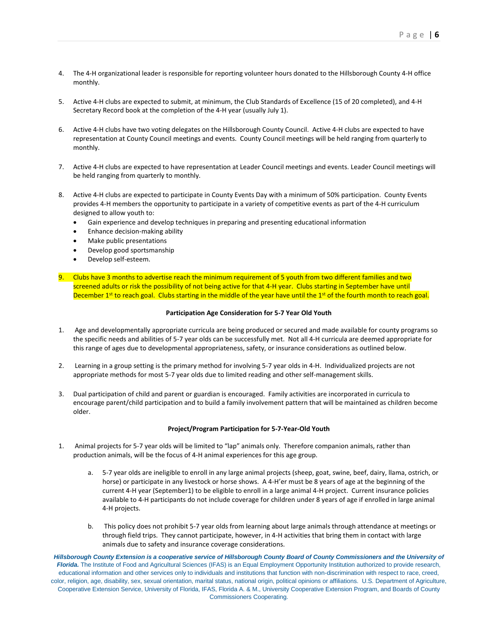- 4. The 4-H organizational leader is responsible for reporting volunteer hours donated to the Hillsborough County 4-H office monthly.
- 5. Active 4-H clubs are expected to submit, at minimum, the Club Standards of Excellence (15 of 20 completed), and 4-H Secretary Record book at the completion of the 4-H year (usually July 1).
- 6. Active 4-H clubs have two voting delegates on the Hillsborough County Council. Active 4-H clubs are expected to have representation at County Council meetings and events. County Council meetings will be held ranging from quarterly to monthly.
- 7. Active 4-H clubs are expected to have representation at Leader Council meetings and events. Leader Council meetings will be held ranging from quarterly to monthly.
- 8. Active 4-H clubs are expected to participate in County Events Day with a minimum of 50% participation. County Events provides 4-H members the opportunity to participate in a variety of competitive events as part of the 4-H curriculum designed to allow youth to:
	- Gain experience and develop techniques in preparing and presenting educational information
	- Enhance decision-making ability
	- Make public presentations
	- Develop good sportsmanship
	- Develop self-esteem.
- 9. Clubs have 3 months to advertise reach the minimum requirement of 5 youth from two different families and two screened adults or risk the possibility of not being active for that 4-H year. Clubs starting in September have until December 1<sup>st</sup> to reach goal. Clubs starting in the middle of the year have until the 1<sup>st</sup> of the fourth month to reach goal.

#### **Participation Age Consideration for 5-7 Year Old Youth**

- 1. Age and developmentally appropriate curricula are being produced or secured and made available for county programs so the specific needs and abilities of 5-7 year olds can be successfully met. Not all 4-H curricula are deemed appropriate for this range of ages due to developmental appropriateness, safety, or insurance considerations as outlined below.
- 2. Learning in a group setting is the primary method for involving 5-7 year olds in 4-H. Individualized projects are not appropriate methods for most 5-7 year olds due to limited reading and other self-management skills.
- 3. Dual participation of child and parent or guardian is encouraged. Family activities are incorporated in curricula to encourage parent/child participation and to build a family involvement pattern that will be maintained as children become older.

#### **Project/Program Participation for 5-7-Year-Old Youth**

- 1. Animal projects for 5-7 year olds will be limited to "lap" animals only. Therefore companion animals, rather than production animals, will be the focus of 4-H animal experiences for this age group.
	- a. 5-7 year olds are ineligible to enroll in any large animal projects (sheep, goat, swine, beef, dairy, llama, ostrich, or horse) or participate in any livestock or horse shows. A 4-H'er must be 8 years of age at the beginning of the current 4-H year (September1) to be eligible to enroll in a large animal 4-H project. Current insurance policies available to 4-H participants do not include coverage for children under 8 years of age if enrolled in large animal 4-H projects.
	- b. This policy does not prohibit 5-7 year olds from learning about large animals through attendance at meetings or through field trips. They cannot participate, however, in 4-H activities that bring them in contact with large animals due to safety and insurance coverage considerations.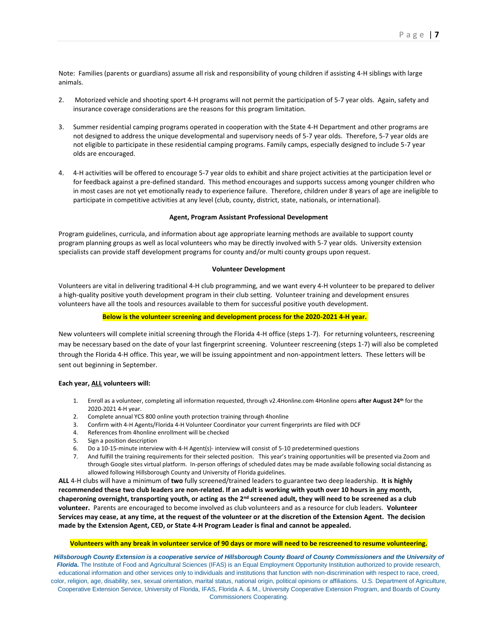Note: Families (parents or guardians) assume all risk and responsibility of young children if assisting 4-H siblings with large animals.

- 2. Motorized vehicle and shooting sport 4-H programs will not permit the participation of 5-7 year olds. Again, safety and insurance coverage considerations are the reasons for this program limitation.
- 3. Summer residential camping programs operated in cooperation with the State 4-H Department and other programs are not designed to address the unique developmental and supervisory needs of 5-7 year olds. Therefore, 5-7 year olds are not eligible to participate in these residential camping programs. Family camps, especially designed to include 5-7 year olds are encouraged.
- 4. 4-H activities will be offered to encourage 5-7 year olds to exhibit and share project activities at the participation level or for feedback against a pre-defined standard. This method encourages and supports success among younger children who in most cases are not yet emotionally ready to experience failure. Therefore, children under 8 years of age are ineligible to participate in competitive activities at any level (club, county, district, state, nationals, or international).

#### **Agent, Program Assistant Professional Development**

Program guidelines, curricula, and information about age appropriate learning methods are available to support county program planning groups as well as local volunteers who may be directly involved with 5-7 year olds. University extension specialists can provide staff development programs for county and/or multi county groups upon request.

#### **Volunteer Development**

Volunteers are vital in delivering traditional 4-H club programming, and we want every 4-H volunteer to be prepared to deliver a high-quality positive youth development program in their club setting. Volunteer training and development ensures volunteers have all the tools and resources available to them for successful positive youth development.

#### **Below is the volunteer screening and development process for the 2020-2021 4-H year.**

New volunteers will complete initial screening through the Florida 4-H office (steps 1-7). For returning volunteers, rescreening may be necessary based on the date of your last fingerprint screening. Volunteer rescreening (steps 1-7) will also be completed through the Florida 4-H office. This year, we will be issuing appointment and non-appointment letters. These letters will be sent out beginning in September.

#### **Each year, ALL volunteers will:**

- 1. Enroll as a volunteer, completing all information requested, through v2.4Honline.com 4Honline opens **after August 24th** for the 2020-2021 4-H year.
- 2. Complete annual YCS 800 online youth protection training through 4honline
- 3. Confirm with 4-H Agents/Florida 4-H Volunteer Coordinator your current fingerprints are filed with DCF
- 4. References from 4honline enrollment will be checked
- 5. Sign a position description
- 6. Do a 10-15-minute interview with 4-H Agent(s)- interview will consist of 5-10 predetermined questions
- 7. And fulfill the training requirements for their selected position. This year's training opportunities will be presented via Zoom and through Google sites virtual platform. In-person offerings of scheduled dates may be made available following social distancing as allowed following Hillsborough County and University of Florida guidelines.

**ALL** 4-H clubs will have a minimum of **two** fully screened/trained leaders to guarantee two deep leadership. **It is highly recommended these two club leaders are non-related. If an adult is working with youth over 10 hours in any month, chaperoning overnight, transporting youth, or acting as the 2nd screened adult, they will need to be screened as a club volunteer.** Parents are encouraged to become involved as club volunteers and as a resource for club leaders. **Volunteer Services may cease, at any time, at the request of the volunteer or at the discretion of the Extension Agent. The decision made by the Extension Agent, CED, or State 4-H Program Leader is final and cannot be appealed.**

#### **Volunteers with any break in volunteer service of 90 days or more will need to be rescreened to resume volunteering.**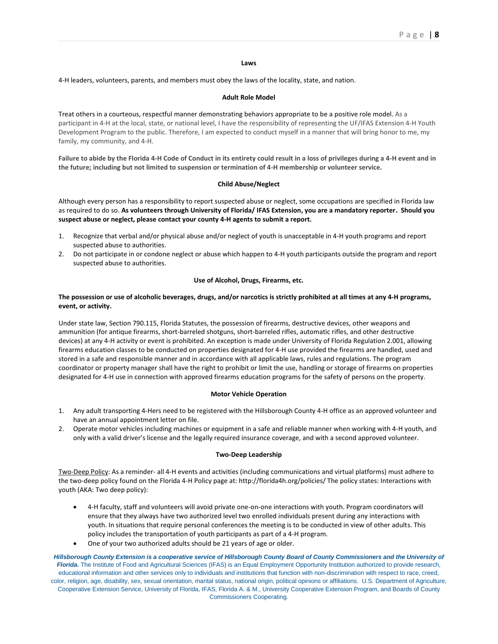#### **Laws**

4-H leaders, volunteers, parents, and members must obey the laws of the locality, state, and nation.

#### **Adult Role Model**

Treat others in a courteous, respectful manner demonstrating behaviors appropriate to be a positive role model. As a participant in 4-H at the local, state, or national level, I have the responsibility of representing the UF/IFAS Extension 4-H Youth Development Program to the public. Therefore, I am expected to conduct myself in a manner that will bring honor to me, my family, my community, and 4-H.

**Failure to abide by the Florida 4-H Code of Conduct in its entirety could result in a loss of privileges during a 4-H event and in the future; including but not limited to suspension or termination of 4-H membership or volunteer service.**

#### **Child Abuse/Neglect**

Although every person has a responsibility to report suspected abuse or neglect, some occupations are specified in Florida law as required to do so. **As volunteers through University of Florida/ IFAS Extension, you are a mandatory reporter. Should you suspect abuse or neglect, please contact your county 4-H agents to submit a report.**

- 1. Recognize that verbal and/or physical abuse and/or neglect of youth is unacceptable in 4-H youth programs and report suspected abuse to authorities.
- 2. Do not participate in or condone neglect or abuse which happen to 4-H youth participants outside the program and report suspected abuse to authorities.

#### **Use of Alcohol, Drugs, Firearms, etc.**

#### **The possession or use of alcoholic beverages, drugs, and/or narcotics is strictly prohibited at all times at any 4-H programs, event, or activity.**

Under state law, Section 790.115, Florida Statutes, the possession of firearms, destructive devices, other weapons and ammunition (for antique firearms, short-barreled shotguns, short-barreled rifles, automatic rifles, and other destructive devices) at any 4-H activity or event is prohibited. An exception is made under University of Florida Regulation 2.001, allowing firearms education classes to be conducted on properties designated for 4-H use provided the firearms are handled, used and stored in a safe and responsible manner and in accordance with all applicable laws, rules and regulations. The program coordinator or property manager shall have the right to prohibit or limit the use, handling or storage of firearms on properties designated for 4-H use in connection with approved firearms education programs for the safety of persons on the property.

#### **Motor Vehicle Operation**

- 1. Any adult transporting 4-Hers need to be registered with the Hillsborough County 4-H office as an approved volunteer and have an annual appointment letter on file.
- 2. Operate motor vehicles including machines or equipment in a safe and reliable manner when working with 4-H youth, and only with a valid driver's license and the legally required insurance coverage, and with a second approved volunteer.

#### **Two-Deep Leadership**

Two-Deep Policy: As a reminder- all 4-H events and activities (including communications and virtual platforms) must adhere to the two-deep policy found on the Florida 4-H Policy page at: http://florida4h.org/policies/ The policy states: Interactions with youth (AKA: Two deep policy):

- 4-H faculty, staff and volunteers will avoid private one-on-one interactions with youth. Program coordinators will ensure that they always have two authorized level two enrolled individuals present during any interactions with youth. In situations that require personal conferences the meeting is to be conducted in view of other adults. This policy includes the transportation of youth participants as part of a 4-H program.
- One of your two authorized adults should be 21 years of age or older.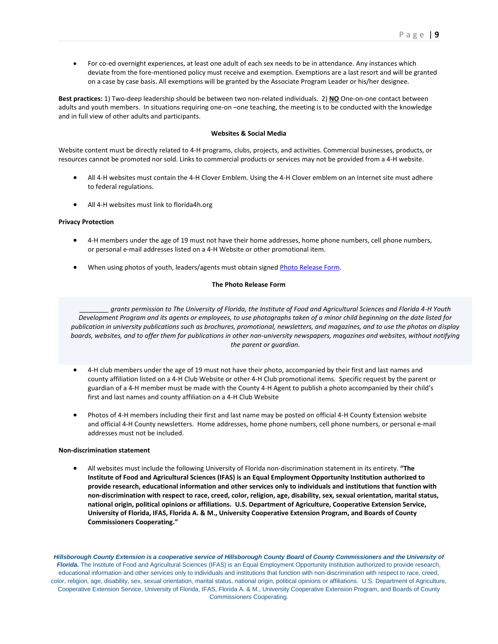• For co-ed overnight experiences, at least one adult of each sex needs to be in attendance. Any instances which deviate from the fore-mentioned policy must receive and exemption. Exemptions are a last resort and will be granted on a case by case basis. All exemptions will be granted by the Associate Program Leader or his/her designee.

**Best practices:** 1) Two-deep leadership should be between two non-related individuals. 2) **NO** One-on-one contact between adults and youth members. In situations requiring one-on-one teaching, the meeting is to be conducted with the knowledge and in full view of other adults and participants.

#### **Websites & Social Media**

Website content must be directly related to 4-H programs, clubs, projects, and activities. Commercial businesses, products, or resources cannot be promoted nor sold. Links to commercial products or services may not be provided from a 4-H website.

- All 4-H websites must contain the 4-H Clover Emblem. Using the 4-H Clover emblem on an Internet site must adhere to federal regulations.
- All 4-H websites must link to florida4h.org

#### **Privacy Protection**

- 4-H members under the age of 19 must not have their home addresses, home phone numbers, cell phone numbers, or personal e-mail addresses listed on a 4-H Website or other promotional item.
- When using photos of youth, leaders/agents must obtain signed [Photo Release Form.](http://florida4h.org/events/photo_contest/files/Photo_Release-Model_Form.pdf)

#### **The Photo Release Form**

*\_\_\_\_\_\_\_\_ grants permission to The University of Florida, the Institute of Food and Agricultural Sciences and Florida 4-H Youth Development Program and its agents or employees, to use photographs taken of a minor child beginning on the date listed for publication in university publications such as brochures, promotional, newsletters, and magazines, and to use the photos on display boards, websites, and to offer them for publications in other non-university newspapers, magazines and websites, without notifying the parent or guardian.*

- 4-H club members under the age of 19 must not have their photo, accompanied by their first and last names and county affiliation listed on a 4-H Club Website or other 4-H Club promotional items. Specific request by the parent or guardian of a 4-H member must be made with the County 4-H Agent to publish a photo accompanied by their child's first and last names and county affiliation on a 4-H Club Website
- Photos of 4-H members including their first and last name may be posted on official 4-H County Extension website and official 4-H County newsletters. Home addresses, home phone numbers, cell phone numbers, or personal e-mail addresses must not be included.

#### **Non-discrimination statement**

• All websites must include the following University of Florida non-discrimination statement in its entirety. **"The Institute of Food and Agricultural Sciences (IFAS) is an Equal Employment Opportunity Institution authorized to provide research, educational information and other services only to individuals and institutions that function with non-discrimination with respect to race, creed, color, religion, age, disability, sex, sexual orientation, marital status, national origin, political opinions or affiliations. U.S. Department of Agriculture, Cooperative Extension Service, University of Florida, IFAS, Florida A. & M., University Cooperative Extension Program, and Boards of County Commissioners Cooperating."**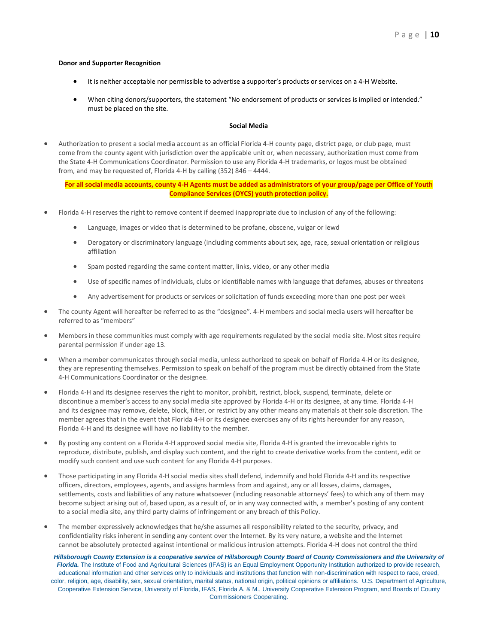#### **Donor and Supporter Recognition**

- It is neither acceptable nor permissible to advertise a supporter's products or services on a 4-H Website.
- When citing donors/supporters, the statement "No endorsement of products or services is implied or intended." must be placed on the site.

#### **Social Media**

• Authorization to present a social media account as an official Florida 4-H county page, district page, or club page, must come from the county agent with jurisdiction over the applicable unit or, when necessary, authorization must come from the State 4-H Communications Coordinator. Permission to use any Florida 4-H trademarks, or logos must be obtained from, and may be requested of, Florida 4-H by calling (352) 846 – 4444.

**For all social media accounts, county 4-H Agents must be added as administrators of your group/page per Office of Youth Compliance Services (OYCS) youth protection policy.**

- Florida 4-H reserves the right to remove content if deemed inappropriate due to inclusion of any of the following:
	- Language, images or video that is determined to be profane, obscene, vulgar or lewd
	- Derogatory or discriminatory language (including comments about sex, age, race, sexual orientation or religious affiliation
	- Spam posted regarding the same content matter, links, video, or any other media
	- Use of specific names of individuals, clubs or identifiable names with language that defames, abuses or threatens
	- Any advertisement for products or services or solicitation of funds exceeding more than one post per week
- The county Agent will hereafter be referred to as the "designee". 4-H members and social media users will hereafter be referred to as "members"
- Members in these communities must comply with age requirements regulated by the social media site. Most sites require parental permission if under age 13.
- When a member communicates through social media, unless authorized to speak on behalf of Florida 4-H or its designee, they are representing themselves. Permission to speak on behalf of the program must be directly obtained from the State 4-H Communications Coordinator or the designee.
- Florida 4-H and its designee reserves the right to monitor, prohibit, restrict, block, suspend, terminate, delete or discontinue a member's access to any social media site approved by Florida 4-H or its designee, at any time. Florida 4-H and its designee may remove, delete, block, filter, or restrict by any other means any materials at their sole discretion. The member agrees that in the event that Florida 4-H or its designee exercises any of its rights hereunder for any reason, Florida 4-H and its designee will have no liability to the member.
- By posting any content on a Florida 4-H approved social media site, Florida 4-H is granted the irrevocable rights to reproduce, distribute, publish, and display such content, and the right to create derivative works from the content, edit or modify such content and use such content for any Florida 4-H purposes.
- Those participating in any Florida 4-H social media sites shall defend, indemnify and hold Florida 4-H and its respective officers, directors, employees, agents, and assigns harmless from and against, any or all losses, claims, damages, settlements, costs and liabilities of any nature whatsoever (including reasonable attorneys' fees) to which any of them may become subject arising out of, based upon, as a result of, or in any way connected with, a member's posting of any content to a social media site, any third party claims of infringement or any breach of this Policy.
- The member expressively acknowledges that he/she assumes all responsibility related to the security, privacy, and confidentiality risks inherent in sending any content over the Internet. By its very nature, a website and the Internet cannot be absolutely protected against intentional or malicious intrusion attempts. Florida 4-H does not control the third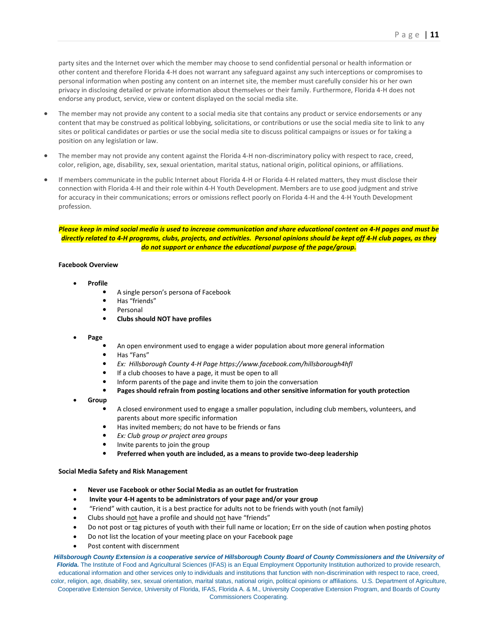party sites and the Internet over which the member may choose to send confidential personal or health information or other content and therefore Florida 4-H does not warrant any safeguard against any such interceptions or compromises to personal information when posting any content on an internet site, the member must carefully consider his or her own privacy in disclosing detailed or private information about themselves or their family. Furthermore, Florida 4-H does not endorse any product, service, view or content displayed on the social media site.

- The member may not provide any content to a social media site that contains any product or service endorsements or any content that may be construed as political lobbying, solicitations, or contributions or use the social media site to link to any sites or political candidates or parties or use the social media site to discuss political campaigns or issues or for taking a position on any legislation or law.
- The member may not provide any content against the Florida 4-H non-discriminatory policy with respect to race, creed, color, religion, age, disability, sex, sexual orientation, marital status, national origin, political opinions, or affiliations.
- If members communicate in the public Internet about Florida 4-H or Florida 4-H related matters, they must disclose their connection with Florida 4-H and their role within 4-H Youth Development. Members are to use good judgment and strive for accuracy in their communications; errors or omissions reflect poorly on Florida 4-H and the 4-H Youth Development profession.

Please keep in mind social media is used to increase communication and share educational content on 4-H pages and must be directly related to 4-H programs, clubs, projects, and activities. Personal opinions should be kept off 4-H club pages, as they *do not support or enhance the educational purpose of the page/group.*

#### **Facebook Overview**

- **Profile**
	- A single person's persona of Facebook
	- Has "friends"
	- Personal
	- **Clubs should NOT have profiles**
- **Page** 
	- An open environment used to engage a wider population about more general information
	- Has "Fans"
	- *Ex: Hillsborough County 4-H Page https://www.facebook.com/hillsborough4hfl*
	- If a club chooses to have a page, it must be open to all
	- Inform parents of the page and invite them to join the conversation
	- **Pages should refrain from posting locations and other sensitive information for youth protection**
- **Group**
	- A closed environment used to engage a smaller population, including club members, volunteers, and parents about more specific information
	- Has invited members; do not have to be friends or fans
	- *Ex: Club group or project area groups*
	- Invite parents to join the group
	- **Preferred when youth are included, as a means to provide two-deep leadership**

#### **Social Media Safety and Risk Management**

- **Never use Facebook or other Social Media as an outlet for frustration**
- **Invite your 4-H agents to be administrators of your page and/or your group**
- "Friend" with caution, it is a best practice for adults not to be friends with youth (not family)
- Clubs should not have a profile and should not have "friends"
- Do not post or tag pictures of youth with their full name or location; Err on the side of caution when posting photos
- Do not list the location of your meeting place on your Facebook page
- Post content with discernment

*Hillsborough County Extension is a cooperative service of Hillsborough County Board of County Commissioners and the University of Florida.* The Institute of Food and Agricultural Sciences (IFAS) is an Equal Employment Opportunity Institution authorized to provide research, educational information and other services only to individuals and institutions that function with non-discrimination with respect to race, creed, color, religion, age, disability, sex, sexual orientation, marital status, national origin, political opinions or affiliations. U.S. Department of Agriculture, Cooperative Extension Service, University of Florida, IFAS, Florida A. & M., University Cooperative Extension Program, and Boards of County

#### Commissioners Cooperating.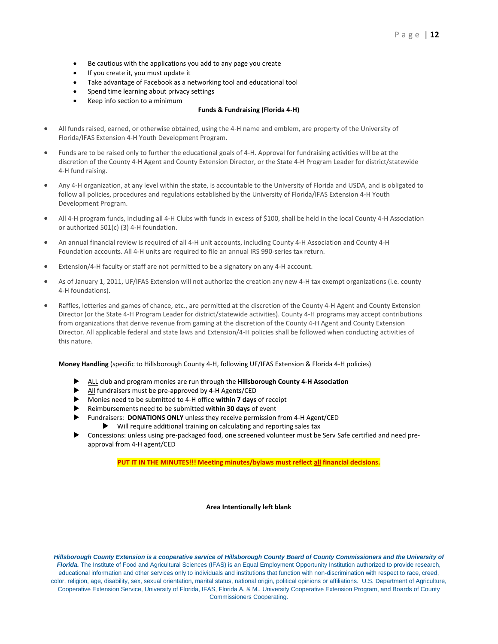- Be cautious with the applications you add to any page you create
- If you create it, you must update it
- Take advantage of Facebook as a networking tool and educational tool
- Spend time learning about privacy settings
- Keep info section to a minimum

#### **Funds & Fundraising (Florida 4-H)**

- All funds raised, earned, or otherwise obtained, using the 4-H name and emblem, are property of the University of Florida/IFAS Extension 4-H Youth Development Program.
- Funds are to be raised only to further the educational goals of 4-H. Approval for fundraising activities will be at the discretion of the County 4-H Agent and County Extension Director, or the State 4-H Program Leader for district/statewide 4-H fund raising.
- Any 4-H organization, at any level within the state, is accountable to the University of Florida and USDA, and is obligated to follow all policies, procedures and regulations established by the University of Florida/IFAS Extension 4-H Youth Development Program.
- All 4-H program funds, including all 4-H Clubs with funds in excess of \$100, shall be held in the local County 4-H Association or authorized 501(c) (3) 4-H foundation.
- An annual financial review is required of all 4-H unit accounts, including County 4-H Association and County 4-H Foundation accounts. All 4-H units are required to file an annual IRS 990-series tax return.
- Extension/4-H faculty or staff are not permitted to be a signatory on any 4-H account.
- As of January 1, 2011, UF/IFAS Extension will not authorize the creation any new 4-H tax exempt organizations (i.e. county 4-H foundations).
- Raffles, lotteries and games of chance, etc., are permitted at the discretion of the County 4-H Agent and County Extension Director (or the State 4-H Program Leader for district/statewide activities). County 4-H programs may accept contributions from organizations that derive revenue from gaming at the discretion of the County 4-H Agent and County Extension Director. All applicable federal and state laws and Extension/4-H policies shall be followed when conducting activities of this nature.

**Money Handling** (specific to Hillsborough County 4-H, following UF/IFAS Extension & Florida 4-H policies)

- ALL club and program monies are run through the **Hillsborough County 4-H Association**
- All fundraisers must be pre-approved by 4-H Agents/CED
- Monies need to be submitted to 4-H office **within 7 days** of receipt
- Reimbursements need to be submitted **within 30 days** of event
- Fundraisers: **DONATIONS ONLY** unless they receive permission from 4-H Agent/CED  $\blacktriangleright$  Will require additional training on calculating and reporting sales tax
- Concessions: unless using pre-packaged food, one screened volunteer must be Serv Safe certified and need preapproval from 4-H agent/CED

**PUT IT IN THE MINUTES!!! Meeting minutes/bylaws must reflect all financial decisions.**

**Area Intentionally left blank**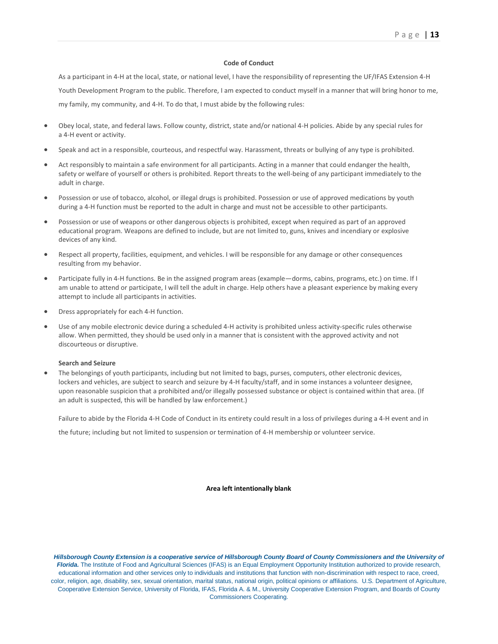#### **Code of Conduct**

As a participant in 4-H at the local, state, or national level, I have the responsibility of representing the UF/IFAS Extension 4-H Youth Development Program to the public. Therefore, I am expected to conduct myself in a manner that will bring honor to me, my family, my community, and 4-H. To do that, I must abide by the following rules:

- Obey local, state, and federal laws. Follow county, district, state and/or national 4-H policies. Abide by any special rules for a 4-H event or activity.
- Speak and act in a responsible, courteous, and respectful way. Harassment, threats or bullying of any type is prohibited.
- Act responsibly to maintain a safe environment for all participants. Acting in a manner that could endanger the health, safety or welfare of yourself or others is prohibited. Report threats to the well-being of any participant immediately to the adult in charge.
- Possession or use of tobacco, alcohol, or illegal drugs is prohibited. Possession or use of approved medications by youth during a 4-H function must be reported to the adult in charge and must not be accessible to other participants.
- Possession or use of weapons or other dangerous objects is prohibited, except when required as part of an approved educational program. Weapons are defined to include, but are not limited to, guns, knives and incendiary or explosive devices of any kind.
- Respect all property, facilities, equipment, and vehicles. I will be responsible for any damage or other consequences resulting from my behavior.
- Participate fully in 4-H functions. Be in the assigned program areas (example—dorms, cabins, programs, etc.) on time. If I am unable to attend or participate, I will tell the adult in charge. Help others have a pleasant experience by making every attempt to include all participants in activities.
- Dress appropriately for each 4-H function.
- Use of any mobile electronic device during a scheduled 4-H activity is prohibited unless activity-specific rules otherwise allow. When permitted, they should be used only in a manner that is consistent with the approved activity and not discourteous or disruptive.

#### **Search and Seizure**

• The belongings of youth participants, including but not limited to bags, purses, computers, other electronic devices, lockers and vehicles, are subject to search and seizure by 4-H faculty/staff, and in some instances a volunteer designee, upon reasonable suspicion that a prohibited and/or illegally possessed substance or object is contained within that area. (If an adult is suspected, this will be handled by law enforcement.)

Failure to abide by the Florida 4-H Code of Conduct in its entirety could result in a loss of privileges during a 4-H event and in

the future; including but not limited to suspension or termination of 4-H membership or volunteer service.

#### **Area left intentionally blank**